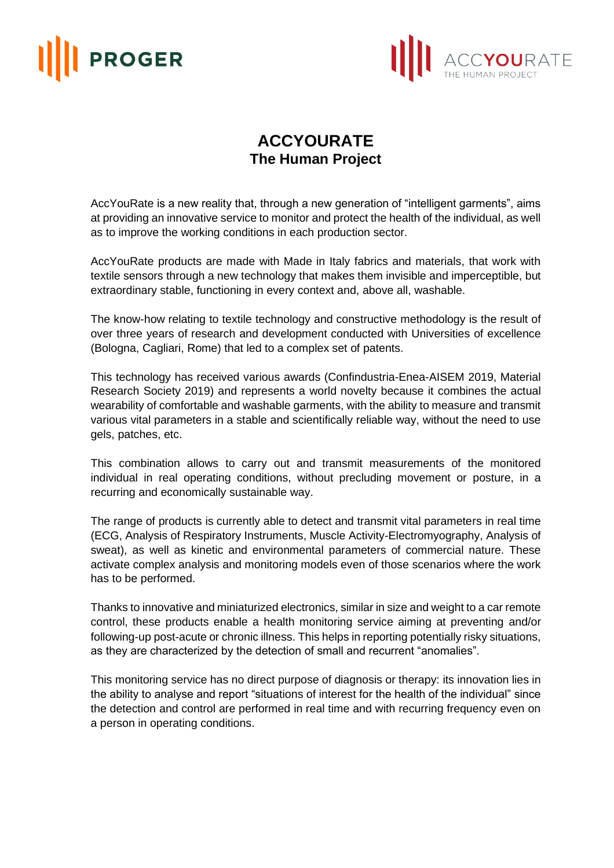## **PROGER**



## **ACCYOURATE The Human Project**

AccYouRate is a new reality that, through a new generation of "intelligent garments", aims at providing an innovative service to monitor and protect the health of the individual, as well as to improve the working conditions in each production sector.

AccYouRate products are made with Made in Italy fabrics and materials, that work with textile sensors through a new technology that makes them invisible and imperceptible, but extraordinary stable, functioning in every context and, above all, washable.

The know-how relating to textile technology and constructive methodology is the result of over three years of research and development conducted with Universities of excellence (Bologna, Cagliari, Rome) that led to a complex set of patents.

This technology has received various awards (Confindustria-Enea-AISEM 2019, Material Research Society 2019) and represents a world novelty because it combines the actual wearability of comfortable and washable garments, with the ability to measure and transmit various vital parameters in a stable and scientifically reliable way, without the need to use gels, patches, etc.

This combination allows to carry out and transmit measurements of the monitored individual in real operating conditions, without precluding movement or posture, in a recurring and economically sustainable way.

The range of products is currently able to detect and transmit vital parameters in real time (ECG, Analysis of Respiratory Instruments, Muscle Activity-Electromyography, Analysis of sweat), as well as kinetic and environmental parameters of commercial nature. These activate complex analysis and monitoring models even of those scenarios where the work has to be performed.

Thanks to innovative and miniaturized electronics, similar in size and weight to a car remote control, these products enable a health monitoring service aiming at preventing and/or following-up post-acute or chronic illness. This helps in reporting potentially risky situations, as they are characterized by the detection of small and recurrent "anomalies".

This monitoring service has no direct purpose of diagnosis or therapy: its innovation lies in the ability to analyse and report "situations of interest for the health of the individual" since the detection and control are performed in real time and with recurring frequency even on a person in operating conditions.